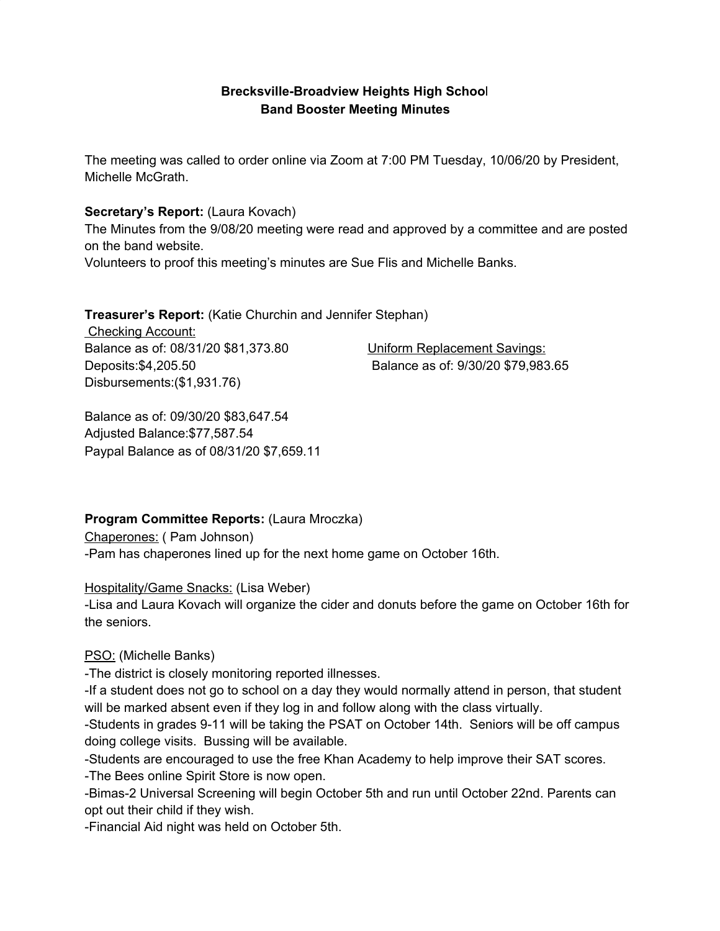### **Brecksville-Broadview Heights High Schoo**l **Band Booster Meeting Minutes**

The meeting was called to order online via Zoom at 7:00 PM Tuesday, 10/06/20 by President, Michelle McGrath.

#### **Secretary's Report:** (Laura Kovach)

The Minutes from the 9/08/20 meeting were read and approved by a committee and are posted on the band website.

Volunteers to proof this meeting's minutes are Sue Flis and Michelle Banks.

**Treasurer's Report:** (Katie Churchin and Jennifer Stephan)

Checking Account: Balance as of: 08/31/20 \$81,373.80 Uniform Replacement Savings: Deposits:\$4,205.50 Balance as of: 9/30/20 \$79,983.65 Disbursements:(\$1,931.76)

Balance as of: 09/30/20 \$83,647.54 Adjusted Balance:\$77,587.54 Paypal Balance as of 08/31/20 \$7,659.11

### **Program Committee Reports:** (Laura Mroczka)

Chaperones: ( Pam Johnson) -Pam has chaperones lined up for the next home game on October 16th.

### Hospitality/Game Snacks: (Lisa Weber)

-Lisa and Laura Kovach will organize the cider and donuts before the game on October 16th for the seniors.

# PSO: (Michelle Banks)

-The district is closely monitoring reported illnesses.

-If a student does not go to school on a day they would normally attend in person, that student will be marked absent even if they log in and follow along with the class virtually.

-Students in grades 9-11 will be taking the PSAT on October 14th. Seniors will be off campus doing college visits. Bussing will be available.

-Students are encouraged to use the free Khan Academy to help improve their SAT scores.

-The Bees online Spirit Store is now open.

-Bimas-2 Universal Screening will begin October 5th and run until October 22nd. Parents can opt out their child if they wish.

-Financial Aid night was held on October 5th.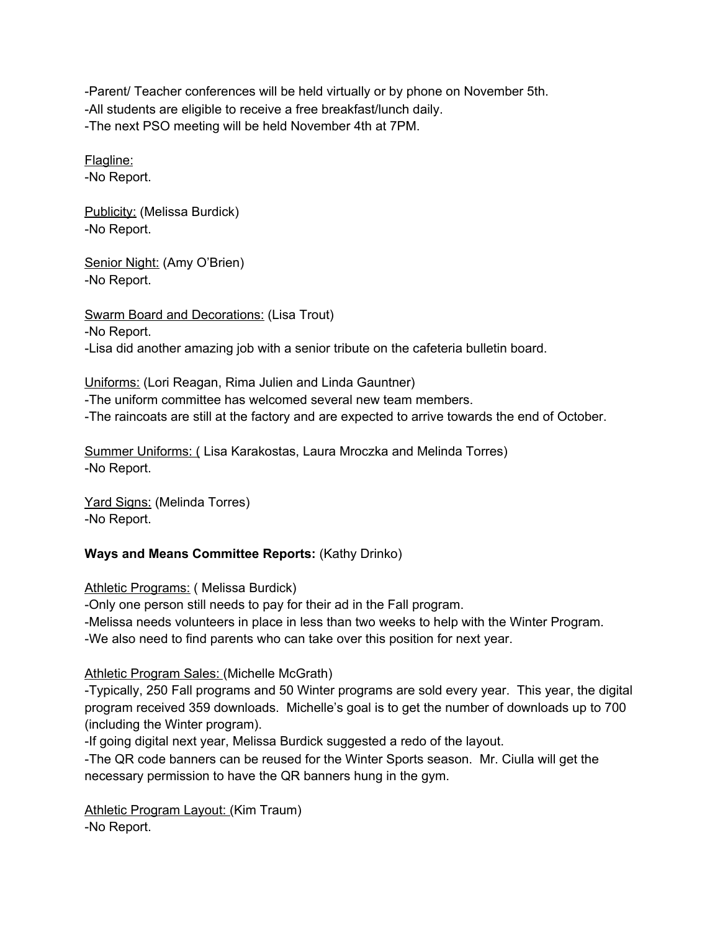-Parent/ Teacher conferences will be held virtually or by phone on November 5th. -All students are eligible to receive a free breakfast/lunch daily. -The next PSO meeting will be held November 4th at 7PM.

Flagline: -No Report.

Publicity: (Melissa Burdick) -No Report.

Senior Night: (Amy O'Brien) -No Report.

Swarm Board and Decorations: (Lisa Trout) -No Report. -Lisa did another amazing job with a senior tribute on the cafeteria bulletin board.

Uniforms: (Lori Reagan, Rima Julien and Linda Gauntner)

-The uniform committee has welcomed several new team members.

-The raincoats are still at the factory and are expected to arrive towards the end of October.

Summer Uniforms: ( Lisa Karakostas, Laura Mroczka and Melinda Torres) -No Report.

Yard Signs: (Melinda Torres) -No Report.

### **Ways and Means Committee Reports:** (Kathy Drinko)

Athletic Programs: ( Melissa Burdick)

-Only one person still needs to pay for their ad in the Fall program.

-Melissa needs volunteers in place in less than two weeks to help with the Winter Program. -We also need to find parents who can take over this position for next year.

### Athletic Program Sales: (Michelle McGrath)

-Typically, 250 Fall programs and 50 Winter programs are sold every year. This year, the digital program received 359 downloads. Michelle's goal is to get the number of downloads up to 700 (including the Winter program).

-If going digital next year, Melissa Burdick suggested a redo of the layout.

-The QR code banners can be reused for the Winter Sports season. Mr. Ciulla will get the necessary permission to have the QR banners hung in the gym.

Athletic Program Layout: (Kim Traum) -No Report.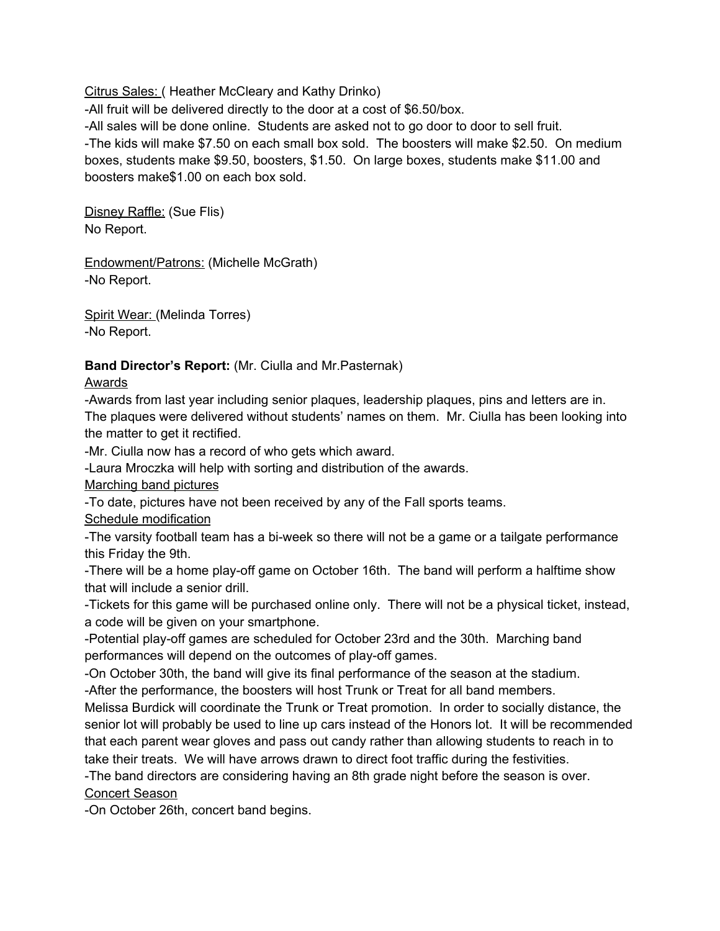Citrus Sales: ( Heather McCleary and Kathy Drinko)

-All fruit will be delivered directly to the door at a cost of \$6.50/box.

-All sales will be done online. Students are asked not to go door to door to sell fruit.

-The kids will make \$7.50 on each small box sold. The boosters will make \$2.50. On medium boxes, students make \$9.50, boosters, \$1.50. On large boxes, students make \$11.00 and boosters make\$1.00 on each box sold.

Disney Raffle: (Sue Flis) No Report.

Endowment/Patrons: (Michelle McGrath) -No Report.

Spirit Wear: (Melinda Torres) -No Report.

### **Band Director's Report:** (Mr. Ciulla and Mr.Pasternak)

Awards

-Awards from last year including senior plaques, leadership plaques, pins and letters are in. The plaques were delivered without students' names on them. Mr. Ciulla has been looking into the matter to get it rectified.

-Mr. Ciulla now has a record of who gets which award.

-Laura Mroczka will help with sorting and distribution of the awards.

Marching band pictures

-To date, pictures have not been received by any of the Fall sports teams.

Schedule modification

-The varsity football team has a bi-week so there will not be a game or a tailgate performance this Friday the 9th.

-There will be a home play-off game on October 16th. The band will perform a halftime show that will include a senior drill.

-Tickets for this game will be purchased online only. There will not be a physical ticket, instead, a code will be given on your smartphone.

-Potential play-off games are scheduled for October 23rd and the 30th. Marching band performances will depend on the outcomes of play-off games.

-On October 30th, the band will give its final performance of the season at the stadium. -After the performance, the boosters will host Trunk or Treat for all band members.

Melissa Burdick will coordinate the Trunk or Treat promotion. In order to socially distance, the senior lot will probably be used to line up cars instead of the Honors lot. It will be recommended that each parent wear gloves and pass out candy rather than allowing students to reach in to take their treats. We will have arrows drawn to direct foot traffic during the festivities.

-The band directors are considering having an 8th grade night before the season is over.

Concert Season

-On October 26th, concert band begins.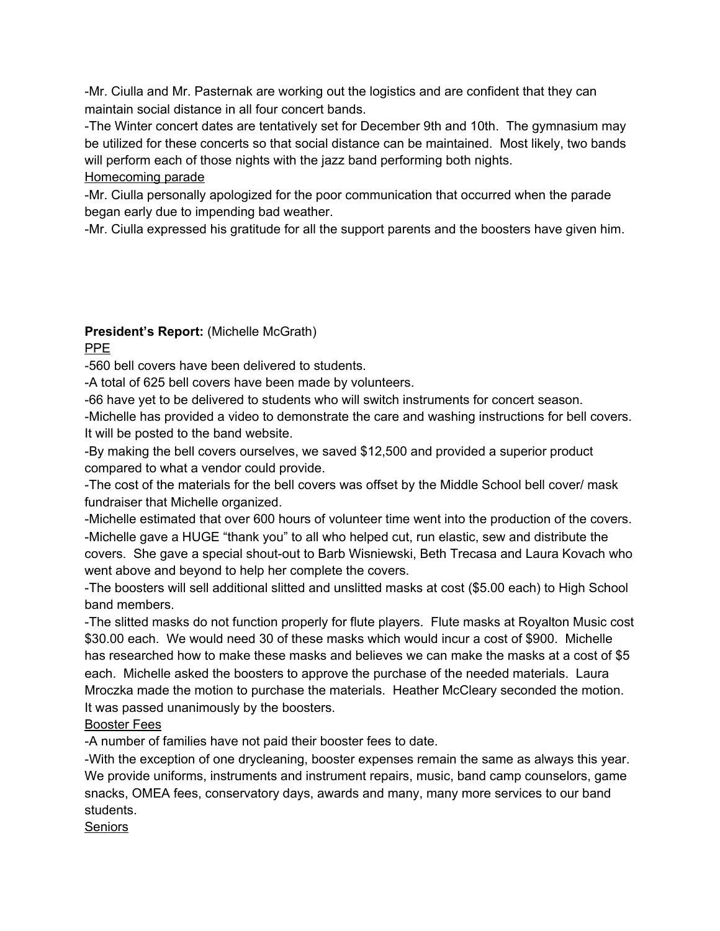-Mr. Ciulla and Mr. Pasternak are working out the logistics and are confident that they can maintain social distance in all four concert bands.

-The Winter concert dates are tentatively set for December 9th and 10th. The gymnasium may be utilized for these concerts so that social distance can be maintained. Most likely, two bands will perform each of those nights with the jazz band performing both nights.

Homecoming parade

-Mr. Ciulla personally apologized for the poor communication that occurred when the parade began early due to impending bad weather.

-Mr. Ciulla expressed his gratitude for all the support parents and the boosters have given him.

## **President's Report:** (Michelle McGrath)

PPE

-560 bell covers have been delivered to students.

-A total of 625 bell covers have been made by volunteers.

-66 have yet to be delivered to students who will switch instruments for concert season.

-Michelle has provided a video to demonstrate the care and washing instructions for bell covers. It will be posted to the band website.

-By making the bell covers ourselves, we saved \$12,500 and provided a superior product compared to what a vendor could provide.

-The cost of the materials for the bell covers was offset by the Middle School bell cover/ mask fundraiser that Michelle organized.

-Michelle estimated that over 600 hours of volunteer time went into the production of the covers. -Michelle gave a HUGE "thank you" to all who helped cut, run elastic, sew and distribute the covers. She gave a special shout-out to Barb Wisniewski, Beth Trecasa and Laura Kovach who went above and beyond to help her complete the covers.

-The boosters will sell additional slitted and unslitted masks at cost (\$5.00 each) to High School band members.

-The slitted masks do not function properly for flute players. Flute masks at Royalton Music cost \$30.00 each. We would need 30 of these masks which would incur a cost of \$900. Michelle has researched how to make these masks and believes we can make the masks at a cost of \$5 each. Michelle asked the boosters to approve the purchase of the needed materials. Laura Mroczka made the motion to purchase the materials. Heather McCleary seconded the motion. It was passed unanimously by the boosters.

Booster Fees

-A number of families have not paid their booster fees to date.

-With the exception of one drycleaning, booster expenses remain the same as always this year. We provide uniforms, instruments and instrument repairs, music, band camp counselors, game snacks, OMEA fees, conservatory days, awards and many, many more services to our band students.

Seniors